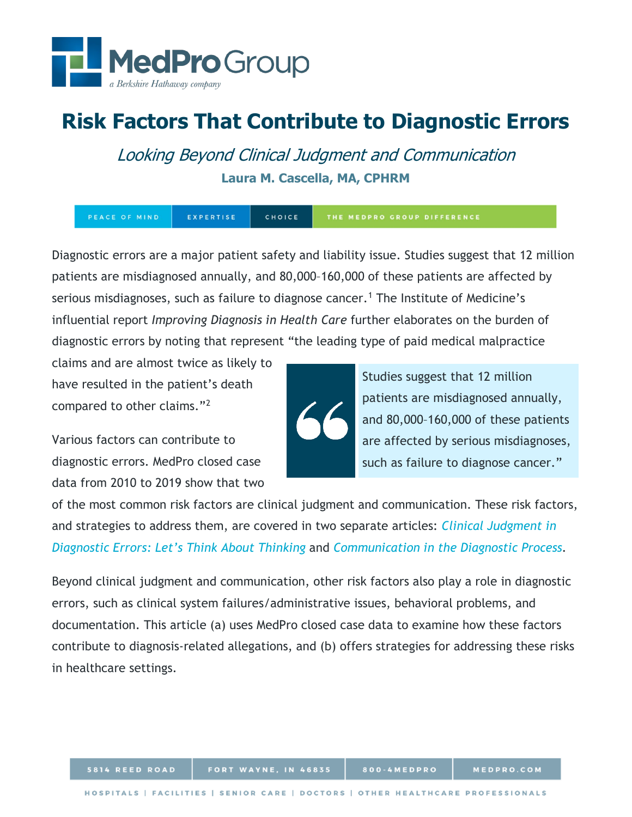

# **Risk Factors That Contribute to Diagnostic Errors**

Looking Beyond Clinical Judgment and Communication **Laura M. Cascella, MA, CPHRM**

EXPERTISE CHOICE THE MEDPRO GROUP DIFFERENCE

Diagnostic errors are a major patient safety and liability issue. Studies suggest that 12 million patients are misdiagnosed annually, and 80,000–160,000 of these patients are affected by serious misdiagnoses, such as failure to diagnose cancer.<sup>[1](#page-12-0)</sup> The Institute of Medicine's influential report *Improving Diagnosis in Health Care* further elaborates on the burden of diagnostic errors by noting that represent "the leading type of paid medical malpractice

claims and are almost twice as likely to have resulted in the patient's death compared to other claims."[2](#page-12-1)

Various factors can contribute to diagnostic errors. MedPro closed case data from 2010 to 2019 show that two



Studies suggest that 12 million patients are misdiagnosed annually, and 80,000–160,000 of these patients are affected by serious misdiagnoses, such as failure to diagnose cancer."

of the most common risk factors are clinical judgment and communication. These risk factors, and strategies to address them, are covered in two separate articles: *[Clinical Judgment in](https://www.medpro.com/documents/10502/2820774/Article_Clinical+Judgment.pdf)  [Diagnostic Errors: Let's Think About Thinking](https://www.medpro.com/documents/10502/2820774/Article_Clinical+Judgment.pdf)* and *[Communication in the Diagnostic Process.](https://www.medpro.com/documents/10502/2820774/Communication+in+the+Diagnostic+Process.pdf)*

Beyond clinical judgment and communication, other risk factors also play a role in diagnostic errors, such as clinical system failures/administrative issues, behavioral problems, and documentation. This article (a) uses MedPro closed case data to examine how these factors contribute to diagnosis-related allegations, and (b) offers strategies for addressing these risks in healthcare settings.

800-4MEDPRO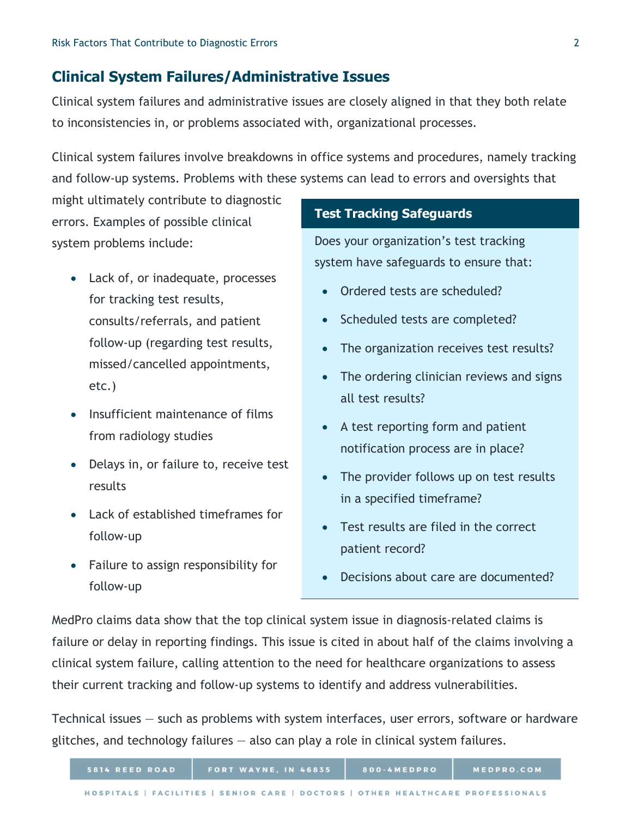# **Clinical System Failures/Administrative Issues**

Clinical system failures and administrative issues are closely aligned in that they both relate to inconsistencies in, or problems associated with, organizational processes.

Clinical system failures involve breakdowns in office systems and procedures, namely tracking and follow-up systems. Problems with these systems can lead to errors and oversights that

might ultimately contribute to diagnostic errors. Examples of possible clinical system problems include:

- Lack of, or inadequate, processes for tracking test results, consults/referrals, and patient follow-up (regarding test results, missed/cancelled appointments, etc.)
- Insufficient maintenance of films from radiology studies
- Delays in, or failure to, receive test results
- Lack of established timeframes for follow-up
- Failure to assign responsibility for follow-up

## **Test Tracking Safeguards**

Does your organization's test tracking system have safeguards to ensure that:

- Ordered tests are scheduled?
- Scheduled tests are completed?
- The organization receives test results?
- The ordering clinician reviews and signs all test results?
- A test reporting form and patient notification process are in place?
- The provider follows up on test results in a specified timeframe?
- Test results are filed in the correct patient record?
- Decisions about care are documented?

MedPro claims data show that the top clinical system issue in diagnosis-related claims is failure or delay in reporting findings. This issue is cited in about half of the claims involving a clinical system failure, calling attention to the need for healthcare organizations to assess their current tracking and follow-up systems to identify and address vulnerabilities.

Technical issues — such as problems with system interfaces, user errors, software or hardware glitches, and technology failures — also can play a role in clinical system failures.

| 5814 REED ROAD | <b>FORT WAYNE, IN 46835</b>                                                     | 800-4MEDPRO | MEDPRO.COM |
|----------------|---------------------------------------------------------------------------------|-------------|------------|
|                | HOSPITALS   FACILITIES   SENIOR CARE   DOCTORS   OTHER HEALTHCARE PROFESSIONALS |             |            |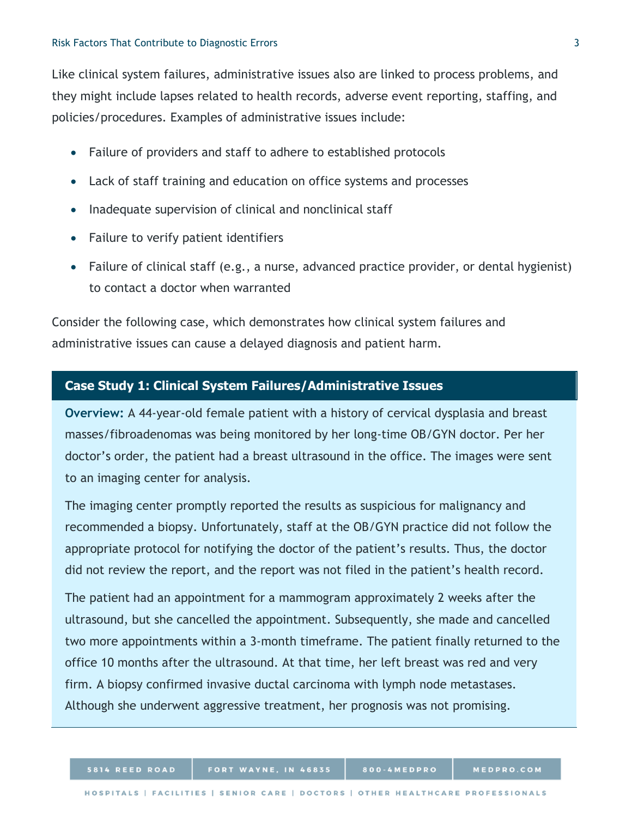Like clinical system failures, administrative issues also are linked to process problems, and they might include lapses related to health records, adverse event reporting, staffing, and policies/procedures. Examples of administrative issues include:

- Failure of providers and staff to adhere to established protocols
- Lack of staff training and education on office systems and processes
- Inadequate supervision of clinical and nonclinical staff
- Failure to verify patient identifiers
- Failure of clinical staff (e.g., a nurse, advanced practice provider, or dental hygienist) to contact a doctor when warranted

Consider the following case, which demonstrates how clinical system failures and administrative issues can cause a delayed diagnosis and patient harm.

#### **Case Study 1: Clinical System Failures/Administrative Issues**

**Overview:** A 44-year-old female patient with a history of cervical dysplasia and breast masses/fibroadenomas was being monitored by her long-time OB/GYN doctor. Per her doctor's order, the patient had a breast ultrasound in the office. The images were sent to an imaging center for analysis.

The imaging center promptly reported the results as suspicious for malignancy and recommended a biopsy. Unfortunately, staff at the OB/GYN practice did not follow the appropriate protocol for notifying the doctor of the patient's results. Thus, the doctor did not review the report, and the report was not filed in the patient's health record.

The patient had an appointment for a mammogram approximately 2 weeks after the ultrasound, but she cancelled the appointment. Subsequently, she made and cancelled two more appointments within a 3-month timeframe. The patient finally returned to the office 10 months after the ultrasound. At that time, her left breast was red and very firm. A biopsy confirmed invasive ductal carcinoma with lymph node metastases. Although she underwent aggressive treatment, her prognosis was not promising.

800-4MEDPRO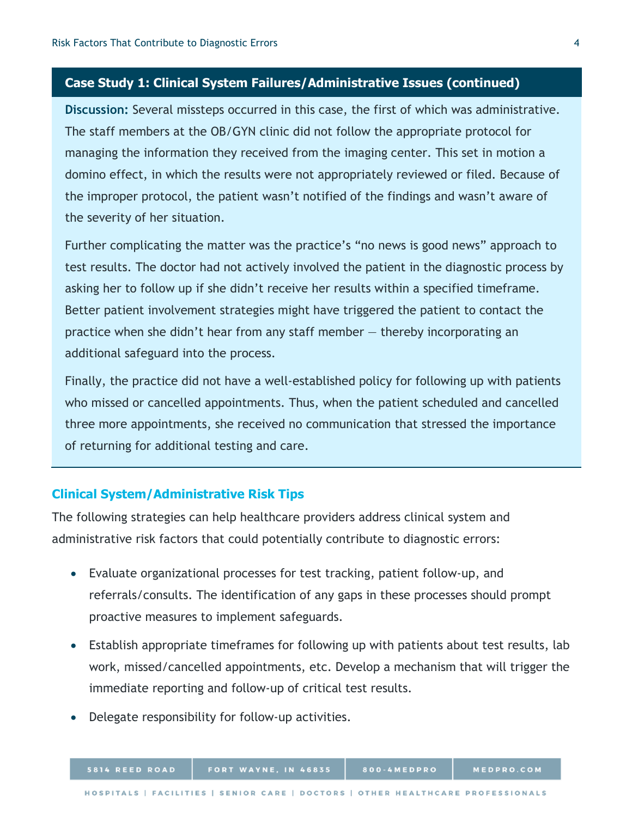## **Case Study 1: Clinical System Failures/Administrative Issues (continued)**

**Discussion:** Several missteps occurred in this case, the first of which was administrative. The staff members at the OB/GYN clinic did not follow the appropriate protocol for managing the information they received from the imaging center. This set in motion a domino effect, in which the results were not appropriately reviewed or filed. Because of the improper protocol, the patient wasn't notified of the findings and wasn't aware of the severity of her situation.

Further complicating the matter was the practice's "no news is good news" approach to test results. The doctor had not actively involved the patient in the diagnostic process by asking her to follow up if she didn't receive her results within a specified timeframe. Better patient involvement strategies might have triggered the patient to contact the practice when she didn't hear from any staff member — thereby incorporating an additional safeguard into the process.

Finally, the practice did not have a well-established policy for following up with patients who missed or cancelled appointments. Thus, when the patient scheduled and cancelled three more appointments, she received no communication that stressed the importance of returning for additional testing and care.

## **Clinical System/Administrative Risk Tips**

The following strategies can help healthcare providers address clinical system and administrative risk factors that could potentially contribute to diagnostic errors:

- Evaluate organizational processes for test tracking, patient follow-up, and referrals/consults. The identification of any gaps in these processes should prompt proactive measures to implement safeguards.
- Establish appropriate timeframes for following up with patients about test results, lab work, missed/cancelled appointments, etc. Develop a mechanism that will trigger the immediate reporting and follow-up of critical test results.
- Delegate responsibility for follow-up activities.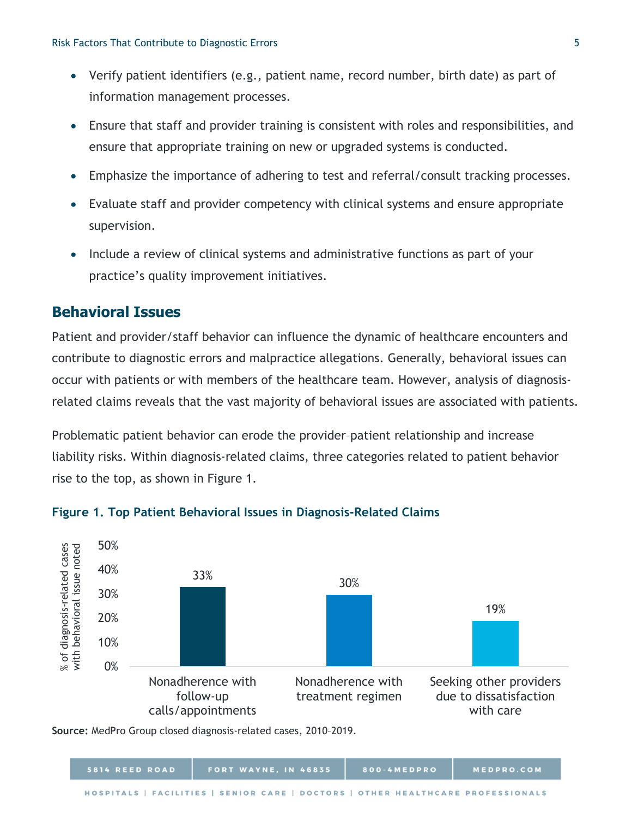- Verify patient identifiers (e.g., patient name, record number, birth date) as part of information management processes.
- Ensure that staff and provider training is consistent with roles and responsibilities, and ensure that appropriate training on new or upgraded systems is conducted.
- Emphasize the importance of adhering to test and referral/consult tracking processes.
- Evaluate staff and provider competency with clinical systems and ensure appropriate supervision.
- Include a review of clinical systems and administrative functions as part of your practice's quality improvement initiatives.

# **Behavioral Issues**

Patient and provider/staff behavior can influence the dynamic of healthcare encounters and contribute to diagnostic errors and malpractice allegations. Generally, behavioral issues can occur with patients or with members of the healthcare team. However, analysis of diagnosisrelated claims reveals that the vast majority of behavioral issues are associated with patients.

Problematic patient behavior can erode the provider–patient relationship and increase liability risks. Within diagnosis-related claims, three categories related to patient behavior rise to the top, as shown in Figure 1.



## **Figure 1. Top Patient Behavioral Issues in Diagnosis-Related Claims**

**Source:** MedPro Group closed diagnosis-related cases, 2010–2019.

| 5814 REED ROAD | <b>FORT WAYNE, IN 46835</b>                                                     | 800-4MEDPRO | MEDPRO.COM |
|----------------|---------------------------------------------------------------------------------|-------------|------------|
|                | HOSPITALS   FACILITIES   SENIOR CARE   DOCTORS   OTHER HEALTHCARE PROFESSIONALS |             |            |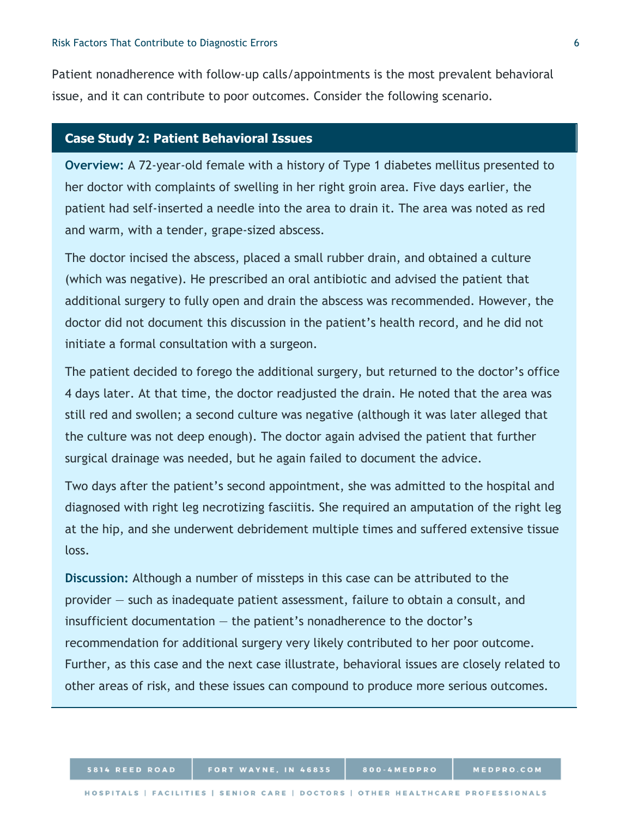Patient nonadherence with follow-up calls/appointments is the most prevalent behavioral issue, and it can contribute to poor outcomes. Consider the following scenario.

### **Case Study 2: Patient Behavioral Issues**

**Overview:** A 72-year-old female with a history of Type 1 diabetes mellitus presented to her doctor with complaints of swelling in her right groin area. Five days earlier, the patient had self-inserted a needle into the area to drain it. The area was noted as red and warm, with a tender, grape-sized abscess.

The doctor incised the abscess, placed a small rubber drain, and obtained a culture (which was negative). He prescribed an oral antibiotic and advised the patient that additional surgery to fully open and drain the abscess was recommended. However, the doctor did not document this discussion in the patient's health record, and he did not initiate a formal consultation with a surgeon.

The patient decided to forego the additional surgery, but returned to the doctor's office 4 days later. At that time, the doctor readjusted the drain. He noted that the area was still red and swollen; a second culture was negative (although it was later alleged that the culture was not deep enough). The doctor again advised the patient that further surgical drainage was needed, but he again failed to document the advice.

Two days after the patient's second appointment, she was admitted to the hospital and diagnosed with right leg necrotizing fasciitis. She required an amputation of the right leg at the hip, and she underwent debridement multiple times and suffered extensive tissue loss.

**Discussion:** Although a number of missteps in this case can be attributed to the provider — such as inadequate patient assessment, failure to obtain a consult, and insufficient documentation — the patient's nonadherence to the doctor's recommendation for additional surgery very likely contributed to her poor outcome. Further, as this case and the next case illustrate, behavioral issues are closely related to other areas of risk, and these issues can compound to produce more serious outcomes.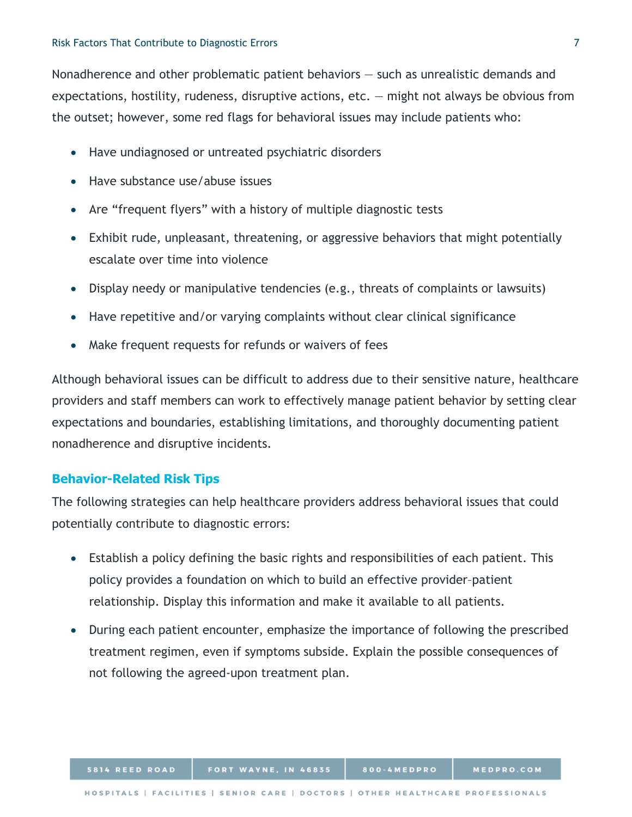Nonadherence and other problematic patient behaviors — such as unrealistic demands and expectations, hostility, rudeness, disruptive actions, etc. — might not always be obvious from the outset; however, some red flags for behavioral issues may include patients who:

- Have undiagnosed or untreated psychiatric disorders
- Have substance use/abuse issues
- Are "frequent flyers" with a history of multiple diagnostic tests
- Exhibit rude, unpleasant, threatening, or aggressive behaviors that might potentially escalate over time into violence
- Display needy or manipulative tendencies (e.g., threats of complaints or lawsuits)
- Have repetitive and/or varying complaints without clear clinical significance
- Make frequent requests for refunds or waivers of fees

Although behavioral issues can be difficult to address due to their sensitive nature, healthcare providers and staff members can work to effectively manage patient behavior by setting clear expectations and boundaries, establishing limitations, and thoroughly documenting patient nonadherence and disruptive incidents.

## **Behavior-Related Risk Tips**

The following strategies can help healthcare providers address behavioral issues that could potentially contribute to diagnostic errors:

- Establish a policy defining the basic rights and responsibilities of each patient. This policy provides a foundation on which to build an effective provider–patient relationship. Display this information and make it available to all patients.
- During each patient encounter, emphasize the importance of following the prescribed treatment regimen, even if symptoms subside. Explain the possible consequences of not following the agreed-upon treatment plan.

800-4MEDPRO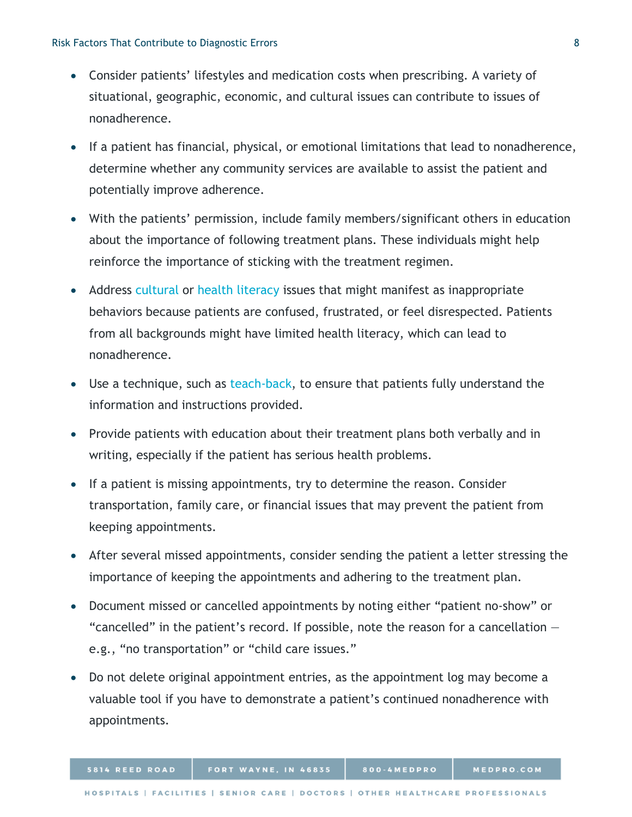- Consider patients' lifestyles and medication costs when prescribing. A variety of situational, geographic, economic, and cultural issues can contribute to issues of nonadherence.
- If a patient has financial, physical, or emotional limitations that lead to nonadherence, determine whether any community services are available to assist the patient and potentially improve adherence.
- With the patients' permission, include family members/significant others in education about the importance of following treatment plans. These individuals might help reinforce the importance of sticking with the treatment regimen.
- Address [cultural](https://www.medpro.com/cultural-competence-health-literacy) or [health literacy](https://www.medpro.com/documents/10502/2899801/Checklist_Patient+Comprehension.pdf) issues that might manifest as inappropriate behaviors because patients are confused, frustrated, or feel disrespected. Patients from all backgrounds might have limited health literacy, which can lead to nonadherence.
- Use a technique, such as [teach-back,](https://www.ahrq.gov/health-literacy/improve/precautions/tool5.html) to ensure that patients fully understand the information and instructions provided.
- Provide patients with education about their treatment plans both verbally and in writing, especially if the patient has serious health problems.
- If a patient is missing appointments, try to determine the reason. Consider transportation, family care, or financial issues that may prevent the patient from keeping appointments.
- After several missed appointments, consider sending the patient a letter stressing the importance of keeping the appointments and adhering to the treatment plan.
- Document missed or cancelled appointments by noting either "patient no-show" or "cancelled" in the patient's record. If possible, note the reason for a cancellation  $$ e.g., "no transportation" or "child care issues."
- Do not delete original appointment entries, as the appointment log may become a valuable tool if you have to demonstrate a patient's continued nonadherence with appointments.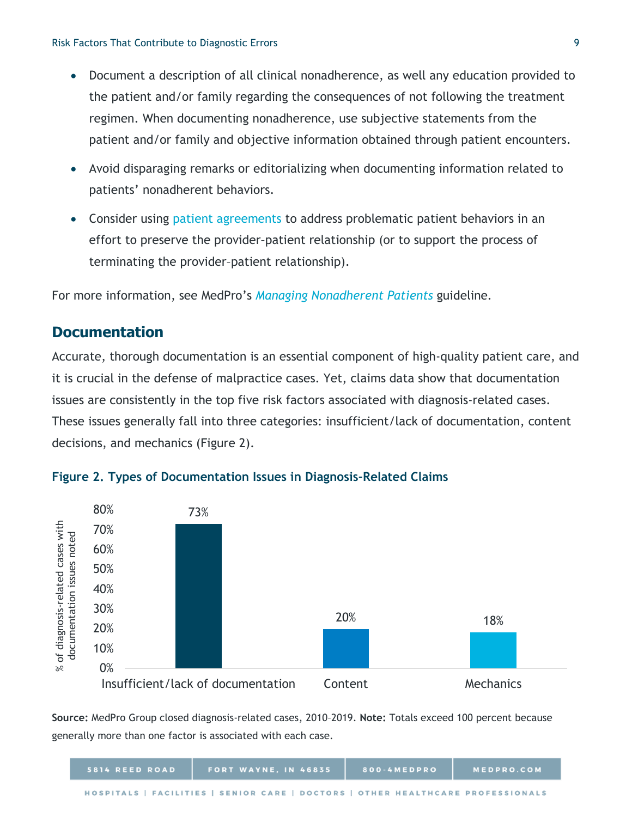- Document a description of all clinical nonadherence, as well any education provided to the patient and/or family regarding the consequences of not following the treatment regimen. When documenting nonadherence, use subjective statements from the patient and/or family and objective information obtained through patient encounters.
- Avoid disparaging remarks or editorializing when documenting information related to patients' nonadherent behaviors.
- Consider using [patient agreements](https://www.medpro.com/documents/10502/2837997/Guideline_Patient+Agreements+in+Clinical+Practice.pdf) to address problematic patient behaviors in an effort to preserve the provider–patient relationship (or to support the process of terminating the provider–patient relationship).

For more information, see MedPro's *[Managing Nonadherent Patients](https://www.medpro.com/documents/10502/2837997/Guideline_Managing+Nonadherent+Patients.pdf)* guideline*.*

## **Documentation**

Accurate, thorough documentation is an essential component of high-quality patient care, and it is crucial in the defense of malpractice cases. Yet, claims data show that documentation issues are consistently in the top five risk factors associated with diagnosis-related cases. These issues generally fall into three categories: insufficient/lack of documentation, content decisions, and mechanics (Figure 2).



#### **Figure 2. Types of Documentation Issues in Diagnosis-Related Claims**

**Source:** MedPro Group closed diagnosis-related cases, 2010–2019. **Note:** Totals exceed 100 percent because generally more than one factor is associated with each case.

| 5814 REED ROAD | FORT WAYNE, IN 46835                                                            | 800-4MEDPRO | MEDPRO.COM |
|----------------|---------------------------------------------------------------------------------|-------------|------------|
|                | HOSPITALS   FACILITIES   SENIOR CARE   DOCTORS   OTHER HEALTHCARE PROFESSIONALS |             |            |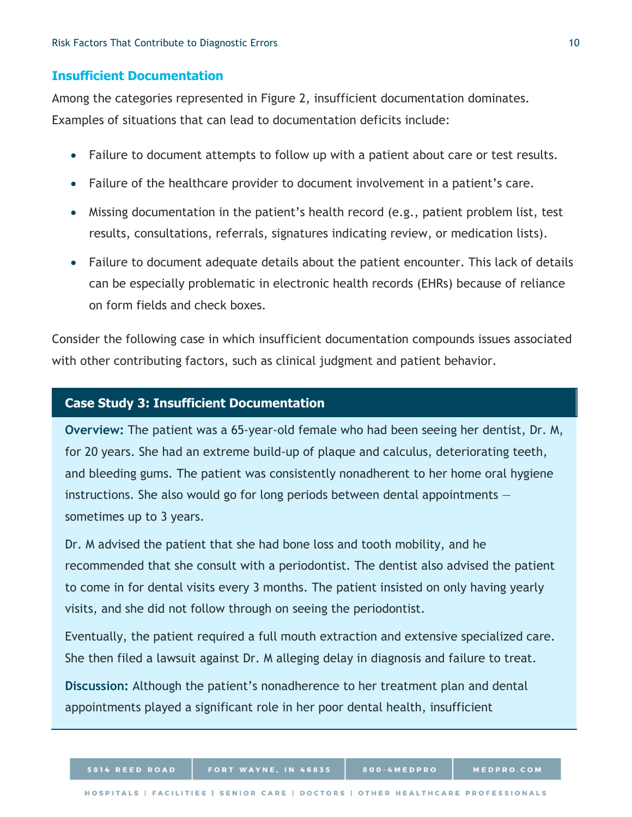#### **Insufficient Documentation**

Among the categories represented in Figure 2, insufficient documentation dominates. Examples of situations that can lead to documentation deficits include:

- Failure to document attempts to follow up with a patient about care or test results.
- Failure of the healthcare provider to document involvement in a patient's care.
- Missing documentation in the patient's health record (e.g., patient problem list, test results, consultations, referrals, signatures indicating review, or medication lists).
- Failure to document adequate details about the patient encounter. This lack of details can be especially problematic in electronic health records (EHRs) because of reliance on form fields and check boxes.

Consider the following case in which insufficient documentation compounds issues associated with other contributing factors, such as clinical judgment and patient behavior.

## **Case Study 3: Insufficient Documentation**

**Overview:** The patient was a 65-year-old female who had been seeing her dentist, Dr. M, for 20 years. She had an extreme build-up of plaque and calculus, deteriorating teeth, and bleeding gums. The patient was consistently nonadherent to her home oral hygiene instructions. She also would go for long periods between dental appointments sometimes up to 3 years.

Dr. M advised the patient that she had bone loss and tooth mobility, and he recommended that she consult with a periodontist. The dentist also advised the patient to come in for dental visits every 3 months. The patient insisted on only having yearly visits, and she did not follow through on seeing the periodontist.

Eventually, the patient required a full mouth extraction and extensive specialized care. She then filed a lawsuit against Dr. M alleging delay in diagnosis and failure to treat.

**Discussion:** Although the patient's nonadherence to her treatment plan and dental appointments played a significant role in her poor dental health, insufficient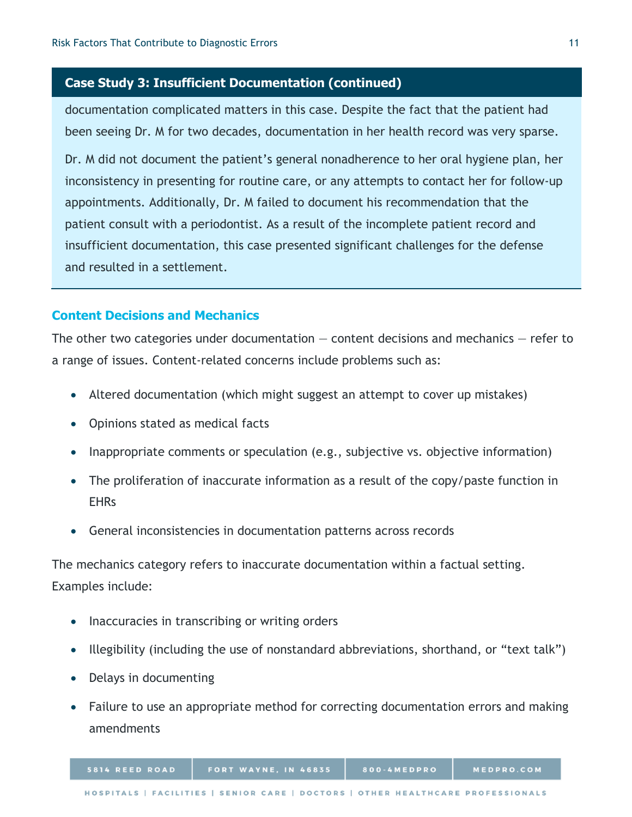## **Case Study 3: Insufficient Documentation (continued)**

documentation complicated matters in this case. Despite the fact that the patient had been seeing Dr. M for two decades, documentation in her health record was very sparse.

Dr. M did not document the patient's general nonadherence to her oral hygiene plan, her inconsistency in presenting for routine care, or any attempts to contact her for follow-up appointments. Additionally, Dr. M failed to document his recommendation that the patient consult with a periodontist. As a result of the incomplete patient record and insufficient documentation, this case presented significant challenges for the defense and resulted in a settlement.

## **Content Decisions and Mechanics**

The other two categories under documentation  $-$  content decisions and mechanics  $-$  refer to a range of issues. Content-related concerns include problems such as:

- Altered documentation (which might suggest an attempt to cover up mistakes)
- Opinions stated as medical facts
- Inappropriate comments or speculation (e.g., subjective vs. objective information)
- The proliferation of inaccurate information as a result of the copy/paste function in EHRs
- General inconsistencies in documentation patterns across records

The mechanics category refers to inaccurate documentation within a factual setting. Examples include:

- Inaccuracies in transcribing or writing orders
- Illegibility (including the use of nonstandard abbreviations, shorthand, or "text talk")
- Delays in documenting
- Failure to use an appropriate method for correcting documentation errors and making amendments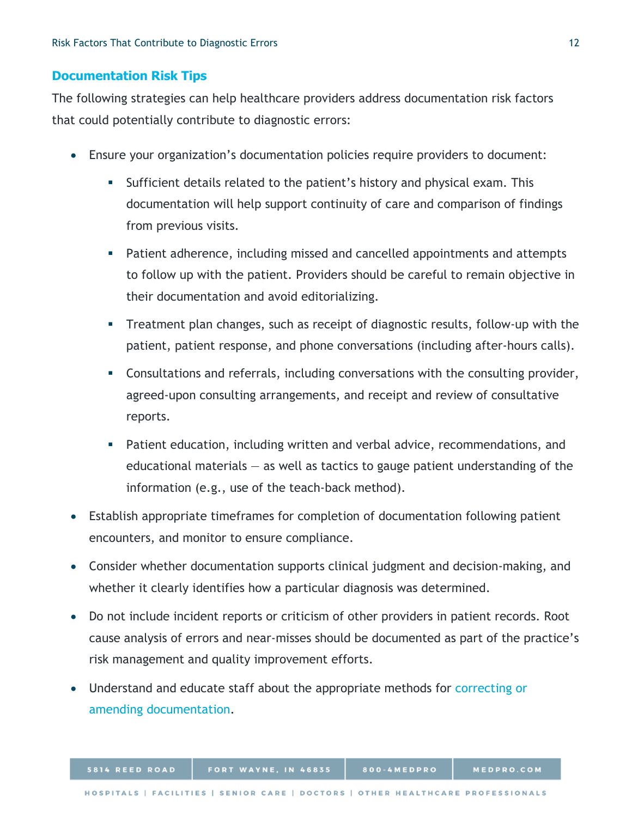## **Documentation Risk Tips**

The following strategies can help healthcare providers address documentation risk factors that could potentially contribute to diagnostic errors:

- Ensure your organization's documentation policies require providers to document:
	- Sufficient details related to the patient's history and physical exam. This documentation will help support continuity of care and comparison of findings from previous visits.
	- Patient adherence, including missed and cancelled appointments and attempts to follow up with the patient. Providers should be careful to remain objective in their documentation and avoid editorializing.
	- Treatment plan changes, such as receipt of diagnostic results, follow-up with the patient, patient response, and phone conversations (including after-hours calls).
	- Consultations and referrals, including conversations with the consulting provider, agreed-upon consulting arrangements, and receipt and review of consultative reports.
	- Patient education, including written and verbal advice, recommendations, and educational materials  $-$  as well as tactics to gauge patient understanding of the information (e.g., use of the teach-back method).
- Establish appropriate timeframes for completion of documentation following patient encounters, and monitor to ensure compliance.
- Consider whether documentation supports clinical judgment and decision-making, and whether it clearly identifies how a particular diagnosis was determined.
- Do not include incident reports or criticism of other providers in patient records. Root cause analysis of errors and near-misses should be documented as part of the practice's risk management and quality improvement efforts.
- Understand and educate staff about the appropriate methods for [correcting or](https://www.medpro.com/EHR-amendments)  [amending documentation.](https://www.medpro.com/EHR-amendments)